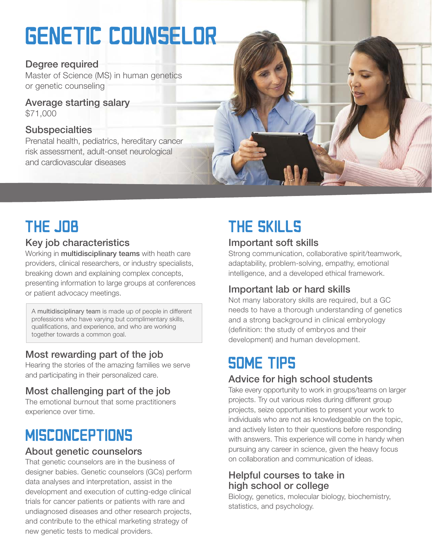# GENETIC COUNSELOR

### Degree required

Master of Science (MS) in human genetics or genetic counseling

Average starting salary \$71,000

### **Subspecialties**

Prenatal health, pediatrics, hereditary cancer risk assessment, adult-onset neurological and cardiovascular diseases



## THE JOB

### Key job characteristics

Working in **multidisciplinary teams** with heath care providers, clinical researchers, or industry specialists, breaking down and explaining complex concepts, presenting information to large groups at conferences or patient advocacy meetings.

A multidisciplinary team is made up of people in different professions who have varying but complimentary skills, qualifications, and experience, and who are working together towards a common goal.

### Most rewarding part of the job

Hearing the stories of the amazing families we serve and participating in their personalized care.

### Most challenging part of the job

The emotional burnout that some practitioners experience over time.

### **MISCONCEPTIONS**

### About genetic counselors

That genetic counselors are in the business of designer babies. Genetic counselors (GCs) perform data analyses and interpretation, assist in the development and execution of cutting-edge clinical trials for cancer patients or patients with rare and undiagnosed diseases and other research projects, and contribute to the ethical marketing strategy of new genetic tests to medical providers.

# THE SKILLS

### Important soft skills

Strong communication, collaborative spirit/teamwork, adaptability, problem-solving, empathy, emotional intelligence, and a developed ethical framework.

### Important lab or hard skills

Not many laboratory skills are required, but a GC needs to have a thorough understanding of genetics and a strong background in clinical embryology (definition: the study of embryos and their development) and human development.

### **SOME TIPS**

### Advice for high school students

Take every opportunity to work in groups/teams on larger projects. Try out various roles during different group projects, seize opportunities to present your work to individuals who are not as knowledgeable on the topic, and actively listen to their questions before responding with answers. This experience will come in handy when pursuing any career in science, given the heavy focus on collaboration and communication of ideas.

### Helpful courses to take in high school or college

Biology, genetics, molecular biology, biochemistry, statistics, and psychology.